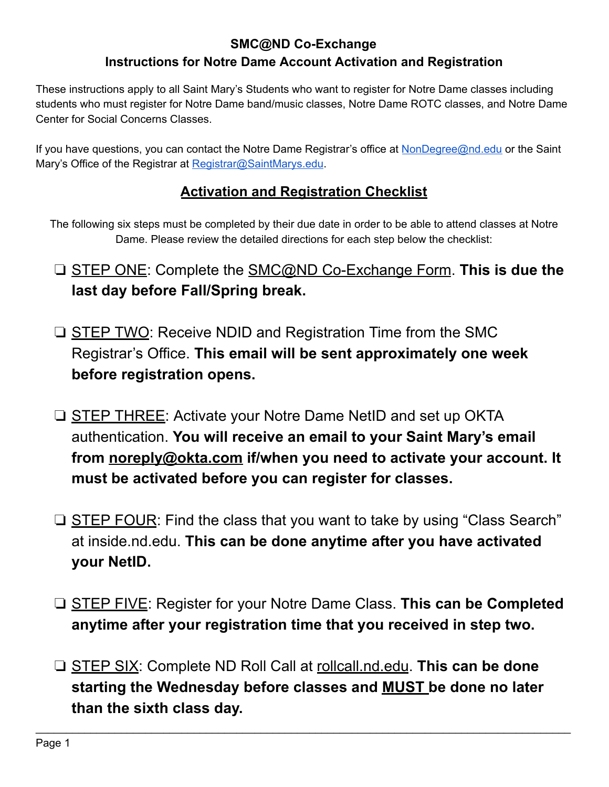# **SMC@ND Co-Exchange Instructions for Notre Dame Account Activation and Registration**

These instructions apply to all Saint Mary's Students who want to register for Notre Dame classes including students who must register for Notre Dame band/music classes, Notre Dame ROTC classes, and Notre Dame Center for Social Concerns Classes.

If you have questions, you can contact the Notre Dame Registrar's office at [NonDegree@nd.edu](mailto:NonDegree@nd.edu) or the Saint Mary's Office of the Registrar at [Registrar@SaintMarys.edu.](mailto:Registrar@SaintMarys.edu)

# **Activation and Registration Checklist**

The following six steps must be completed by their due date in order to be able to attend classes at Notre Dame. Please review the detailed directions for each step below the checklist:

- ❏ [STEP ONE :](#page-1-0) Complete the [SMC@ND Co-Exchange Form .](https://www.saintmarys.edu/registrar/students/forms/smc-at-nd-co-exchange) **This is due the last day before Fall/Spring break.**
- **□ [STEP TWO](#page-1-1): Receive NDID and Registration Time from the SMC** Registrar's Office. **This email will be sent approximately one week before registration opens.**
- ❏ [STEP THREE](#page-1-2) : Activate your Notre Dame NetID and set up OKTA authentication. **You will receive an email to your Saint Mary's email from [noreply@okta.com](mailto:noreply@okta.com) if/when you need to activate your account. It must be activated before you can register for classes.**
- ❏ [STEP FOUR :](#page-2-0) Find the class that you want to take by using "Class Search" at inside.nd.edu. **This can be done anytime after you have activated your NetID.**
- ❏ [STEP FIVE](#page-2-1) : Register for your Notre Dame Class. **This can be Completed anytime after your registration time that you received in step two.**
- ❏ [STEP SIX :](#page-3-0) Complete ND Roll Call at [rollcall.nd.edu](https://rollcall.nd.edu/) . **This can be done starting the Wednesday before classes and MUST be done no later than the sixth class day.**

 $\mathcal{L}_\mathcal{L} = \mathcal{L}_\mathcal{L} = \mathcal{L}_\mathcal{L} = \mathcal{L}_\mathcal{L} = \mathcal{L}_\mathcal{L} = \mathcal{L}_\mathcal{L} = \mathcal{L}_\mathcal{L} = \mathcal{L}_\mathcal{L} = \mathcal{L}_\mathcal{L} = \mathcal{L}_\mathcal{L} = \mathcal{L}_\mathcal{L} = \mathcal{L}_\mathcal{L} = \mathcal{L}_\mathcal{L} = \mathcal{L}_\mathcal{L} = \mathcal{L}_\mathcal{L} = \mathcal{L}_\mathcal{L} = \mathcal{L}_\mathcal{L}$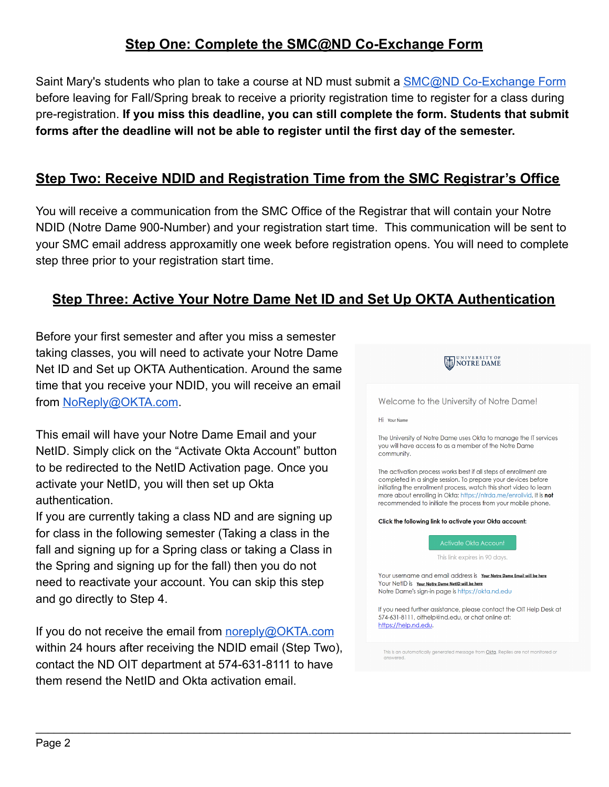# <span id="page-1-0"></span>**Step One: Complete the SMC@ND Co-Exchange Form**

Saint Mary's students who plan to take a course at ND must submit a **SMC@ND Co-Exchange Form** before leaving for Fall/Spring break to receive a priority registration time to register for a class during pre-registration. **If you miss this deadline, you can still complete the form. Students that submit forms after the deadline will not be able to register until the first day of the semester.** 

### <span id="page-1-1"></span>**Step Two: Receive NDID and Registration Time from the SMC Registrar's Office**

You will receive a communication from the SMC Office of the Registrar that will contain your Notre NDID (Notre Dame 900-Number) and your registration start time. This communication will be sent to your SMC email address approxamitly one week before registration opens. You will need to complete step three prior to your registration start time.

#### <span id="page-1-2"></span>**Step Three: Active Your Notre Dame Net ID and Set Up OKTA Authentication**

 $\mathcal{L}_\mathcal{L} = \mathcal{L}_\mathcal{L} = \mathcal{L}_\mathcal{L} = \mathcal{L}_\mathcal{L} = \mathcal{L}_\mathcal{L} = \mathcal{L}_\mathcal{L} = \mathcal{L}_\mathcal{L} = \mathcal{L}_\mathcal{L} = \mathcal{L}_\mathcal{L} = \mathcal{L}_\mathcal{L} = \mathcal{L}_\mathcal{L} = \mathcal{L}_\mathcal{L} = \mathcal{L}_\mathcal{L} = \mathcal{L}_\mathcal{L} = \mathcal{L}_\mathcal{L} = \mathcal{L}_\mathcal{L} = \mathcal{L}_\mathcal{L}$ 

Before your first semester and after you miss a semester taking classes, you will need to activate your Notre Dame Net ID and Set up OKTA Authentication. Around the same time that you receive your NDID, you will receive an email from [NoReply@OKTA.com](mailto:NoReply@OKTA.com).

This email will have your Notre Dame Email and your NetID. Simply click on the "Activate Okta Account" button to be redirected to the NetID Activation page. Once you activate your NetID, you will then set up Okta authentication.

If you are currently taking a class ND and are signing up for class in the following semester (Taking a class in the fall and signing up for a Spring class or taking a Class in the Spring and signing up for the fall) then you do not need to reactivate your account. You can skip this step and go directly to Step 4.

If you do not receive the email from [noreply@OKTA.com](mailto:noreply@OKTA.com) within 24 hours after receiving the NDID email (Step Two), contact the ND OIT department at 574-631-8111 to have them resend the NetID and Okta activation email.



Welcome to the University of Notre Dame!

Hi Your Name

The University of Notre Dame uses Okta to manage the IT services you will have access to as a member of the Notre Dame community.

The activation process works best if all steps of enrollment are completed in a single session. To prepare your devices before initiating the enrollment process, watch this short video to learn more about enrolling in Okta: https://ntrda.me/enrollvid. It is not recommended to initiate the process from your mobile phone.

Click the following link to activate your Okta account:



Your username and email address is Your Notre Dame Email will be here YOUR NetID is Your Notre Dame NetID will be here

Notre Dame's sign-in page is https://okta.nd.edu

If you need further assistance, please contact the OIT Help Desk at 574-631-8111, oithelp@nd.edu, or chat online at: https://help.nd.edu.

This is an automatically generated message from Okta. Replies are not monitored or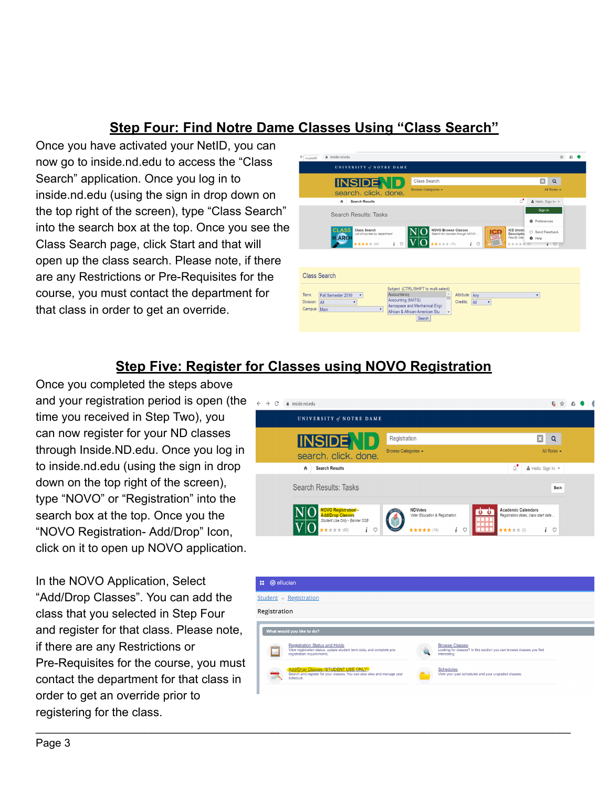# <span id="page-2-0"></span>**Step Four: Find Notre Dame Classes Using "Class Search"**

Once you have activated your NetID, you can now go to inside.nd.edu to access the "Class Search" application. Once you log in to inside.nd.edu (using the sign in drop down on the top right of the screen), type "Class Search" into the search box at the top. Once you see the Class Search page, click Start and that will open up the class search. Please note, if there are any Restrictions or Pre-Requisites for the course, you must contact the department for that class in order to get an override.



#### <span id="page-2-1"></span>**Step Five: Register for Classes using NOVO Registration**

 $\mathcal{L}_\mathcal{L} = \mathcal{L}_\mathcal{L} = \mathcal{L}_\mathcal{L} = \mathcal{L}_\mathcal{L} = \mathcal{L}_\mathcal{L} = \mathcal{L}_\mathcal{L} = \mathcal{L}_\mathcal{L} = \mathcal{L}_\mathcal{L} = \mathcal{L}_\mathcal{L} = \mathcal{L}_\mathcal{L} = \mathcal{L}_\mathcal{L} = \mathcal{L}_\mathcal{L} = \mathcal{L}_\mathcal{L} = \mathcal{L}_\mathcal{L} = \mathcal{L}_\mathcal{L} = \mathcal{L}_\mathcal{L} = \mathcal{L}_\mathcal{L}$ 

Once you completed the steps above and your registration period is open (the time you received in Step Two), you can now register for your ND classes through Inside.ND.edu. Once you log in to inside.nd.edu (using the sign in drop down on the top right of the screen), type "NOVO" or "Registration" into the search box at the top. Once you the "NOVO Registration- Add/Drop" Icon, click on it to open up NOVO application.

In the NOVO Application, Select "Add/Drop Classes". You can add the class that you selected in Step Four and register for that class. Please note, if there are any Restrictions or Pre-Requisites for the course, you must contact the department for that class in order to get an override prior to registering for the class.



| m.                         | <b>@</b> ellucian |                                                                                                                                      |  |                                                                                                               |
|----------------------------|-------------------|--------------------------------------------------------------------------------------------------------------------------------------|--|---------------------------------------------------------------------------------------------------------------|
| Student Registration       |                   |                                                                                                                                      |  |                                                                                                               |
| Registration               |                   |                                                                                                                                      |  |                                                                                                               |
|                            |                   |                                                                                                                                      |  |                                                                                                               |
| What would you like to do? |                   |                                                                                                                                      |  |                                                                                                               |
|                            |                   | Registration Status and Holds<br>View registration status, update student term data, and complete pre-<br>registration requirements. |  | <b>Browse Classes</b><br>Looking for classes? In this section you can browse classes you find<br>interesting. |
|                            |                   | Add/Drop Classes (STUDENT USE ONLY)<br>Search and register for your classes. You can also view and manage your<br>schedule.          |  | Schedules<br>View your past schedules and your ungraded classes.                                              |
|                            |                   |                                                                                                                                      |  |                                                                                                               |